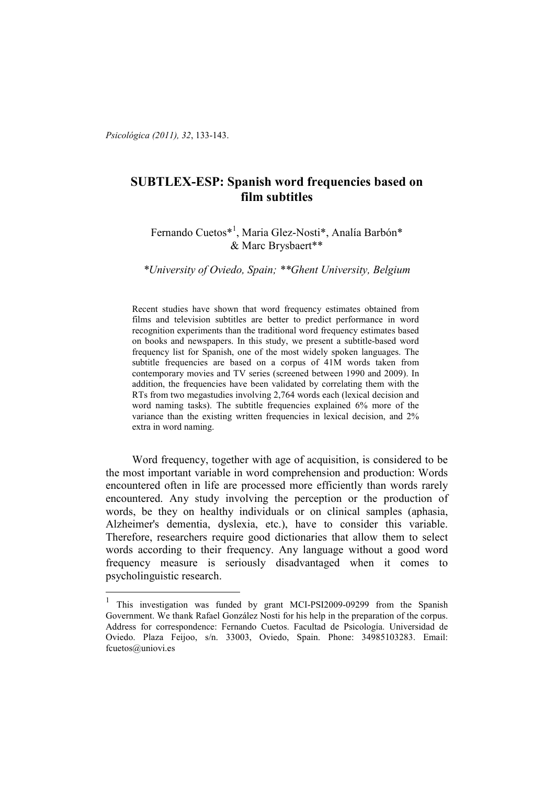*Psicológica (2011), 32*, 133-143.

# **SUBTLEX-ESP: Spanish word frequencies based on film subtitles**

## Fernando Cuetos\*<sup>1</sup> , Maria Glez-Nosti\*, Analía Barbón\* & Marc Brysbaert\*\*

*\*University of Oviedo, Spain; \*\*Ghent University, Belgium* 

Recent studies have shown that word frequency estimates obtained from films and television subtitles are better to predict performance in word recognition experiments than the traditional word frequency estimates based on books and newspapers. In this study, we present a subtitle-based word frequency list for Spanish, one of the most widely spoken languages. The subtitle frequencies are based on a corpus of 41M words taken from contemporary movies and TV series (screened between 1990 and 2009). In addition, the frequencies have been validated by correlating them with the RTs from two megastudies involving 2,764 words each (lexical decision and word naming tasks). The subtitle frequencies explained 6% more of the variance than the existing written frequencies in lexical decision, and 2% extra in word naming.

Word frequency, together with age of acquisition, is considered to be the most important variable in word comprehension and production: Words encountered often in life are processed more efficiently than words rarely encountered. Any study involving the perception or the production of words, be they on healthy individuals or on clinical samples (aphasia, Alzheimer's dementia, dyslexia, etc.), have to consider this variable. Therefore, researchers require good dictionaries that allow them to select words according to their frequency. Any language without a good word frequency measure is seriously disadvantaged when it comes to psycholinguistic research.

 1 This investigation was funded by grant MCI-PSI2009-09299 from the Spanish Government. We thank Rafael González Nosti for his help in the preparation of the corpus. Address for correspondence: Fernando Cuetos. Facultad de Psicología. Universidad de Oviedo. Plaza Feijoo, s/n. 33003, Oviedo, Spain. Phone: 34985103283. Email: fcuetos@uniovi.es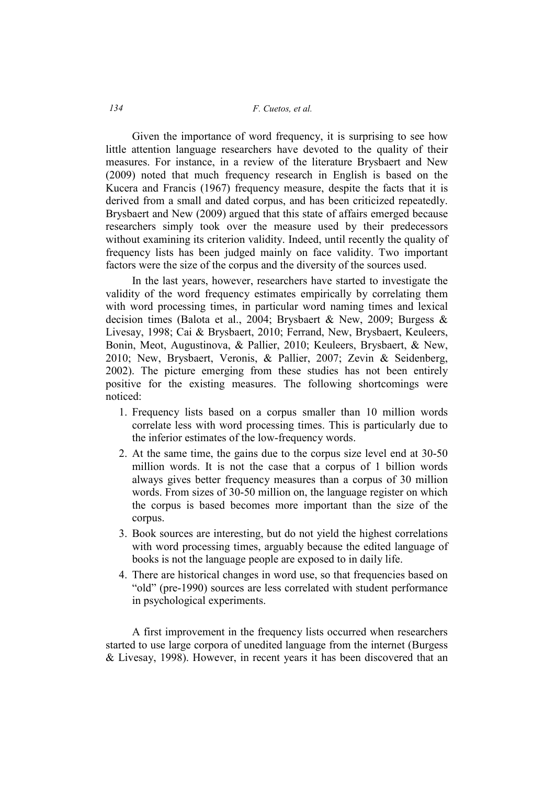### *134 F. Cuetos, et al.*

Given the importance of word frequency, it is surprising to see how little attention language researchers have devoted to the quality of their measures. For instance, in a review of the literature Brysbaert and New (2009) noted that much frequency research in English is based on the Kucera and Francis (1967) frequency measure, despite the facts that it is derived from a small and dated corpus, and has been criticized repeatedly. Brysbaert and New (2009) argued that this state of affairs emerged because researchers simply took over the measure used by their predecessors without examining its criterion validity. Indeed, until recently the quality of frequency lists has been judged mainly on face validity. Two important factors were the size of the corpus and the diversity of the sources used.

In the last years, however, researchers have started to investigate the validity of the word frequency estimates empirically by correlating them with word processing times, in particular word naming times and lexical decision times (Balota et al., 2004; Brysbaert & New, 2009; Burgess & Livesay, 1998; Cai & Brysbaert, 2010; Ferrand, New, Brysbaert, Keuleers, Bonin, Meot, Augustinova, & Pallier, 2010; Keuleers, Brysbaert, & New, 2010; New, Brysbaert, Veronis, & Pallier, 2007; Zevin & Seidenberg, 2002). The picture emerging from these studies has not been entirely positive for the existing measures. The following shortcomings were noticed:

- 1. Frequency lists based on a corpus smaller than 10 million words correlate less with word processing times. This is particularly due to the inferior estimates of the low-frequency words.
- 2. At the same time, the gains due to the corpus size level end at 30-50 million words. It is not the case that a corpus of 1 billion words always gives better frequency measures than a corpus of 30 million words. From sizes of 30-50 million on, the language register on which the corpus is based becomes more important than the size of the corpus.
- 3. Book sources are interesting, but do not yield the highest correlations with word processing times, arguably because the edited language of books is not the language people are exposed to in daily life.
- 4. There are historical changes in word use, so that frequencies based on "old" (pre-1990) sources are less correlated with student performance in psychological experiments.

A first improvement in the frequency lists occurred when researchers started to use large corpora of unedited language from the internet (Burgess & Livesay, 1998). However, in recent years it has been discovered that an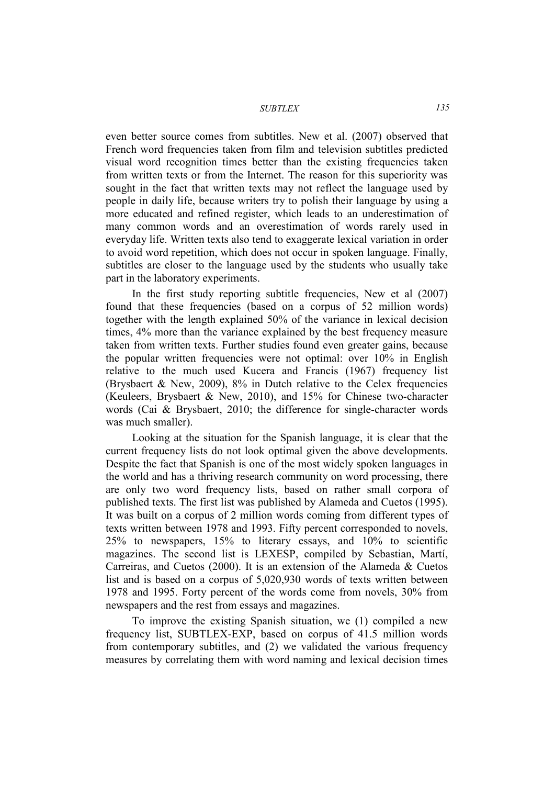even better source comes from subtitles. New et al. (2007) observed that French word frequencies taken from film and television subtitles predicted visual word recognition times better than the existing frequencies taken from written texts or from the Internet. The reason for this superiority was sought in the fact that written texts may not reflect the language used by people in daily life, because writers try to polish their language by using a more educated and refined register, which leads to an underestimation of many common words and an overestimation of words rarely used in everyday life. Written texts also tend to exaggerate lexical variation in order to avoid word repetition, which does not occur in spoken language. Finally, subtitles are closer to the language used by the students who usually take part in the laboratory experiments.

In the first study reporting subtitle frequencies, New et al (2007) found that these frequencies (based on a corpus of 52 million words) together with the length explained 50% of the variance in lexical decision times, 4% more than the variance explained by the best frequency measure taken from written texts. Further studies found even greater gains, because the popular written frequencies were not optimal: over 10% in English relative to the much used Kucera and Francis (1967) frequency list (Brysbaert & New, 2009),  $8\%$  in Dutch relative to the Celex frequencies (Keuleers, Brysbaert & New, 2010), and 15% for Chinese two-character words (Cai & Brysbaert, 2010; the difference for single-character words was much smaller).

Looking at the situation for the Spanish language, it is clear that the current frequency lists do not look optimal given the above developments. Despite the fact that Spanish is one of the most widely spoken languages in the world and has a thriving research community on word processing, there are only two word frequency lists, based on rather small corpora of published texts. The first list was published by Alameda and Cuetos (1995). It was built on a corpus of 2 million words coming from different types of texts written between 1978 and 1993. Fifty percent corresponded to novels, 25% to newspapers, 15% to literary essays, and 10% to scientific magazines. The second list is LEXESP, compiled by Sebastian, Martí, Carreiras, and Cuetos (2000). It is an extension of the Alameda & Cuetos list and is based on a corpus of 5,020,930 words of texts written between 1978 and 1995. Forty percent of the words come from novels, 30% from newspapers and the rest from essays and magazines.

To improve the existing Spanish situation, we (1) compiled a new frequency list, SUBTLEX-EXP, based on corpus of 41.5 million words from contemporary subtitles, and (2) we validated the various frequency measures by correlating them with word naming and lexical decision times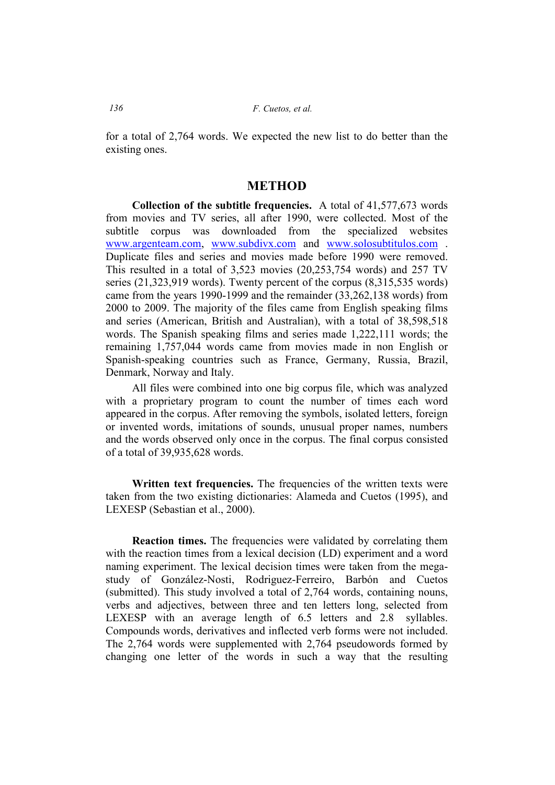for a total of 2,764 words. We expected the new list to do better than the existing ones.

## **METHOD**

**Collection of the subtitle frequencies.** A total of 41,577,673 words from movies and TV series, all after 1990, were collected. Most of the subtitle corpus was downloaded from the specialized websites www.argenteam.com, www.subdivx.com and www.solosubtitulos.com . Duplicate files and series and movies made before 1990 were removed. This resulted in a total of 3,523 movies (20,253,754 words) and 257 TV series (21,323,919 words). Twenty percent of the corpus (8,315,535 words) came from the years 1990-1999 and the remainder (33,262,138 words) from 2000 to 2009. The majority of the files came from English speaking films and series (American, British and Australian), with a total of 38,598,518 words. The Spanish speaking films and series made 1,222,111 words; the remaining 1,757,044 words came from movies made in non English or Spanish-speaking countries such as France, Germany, Russia, Brazil, Denmark, Norway and Italy.

All files were combined into one big corpus file, which was analyzed with a proprietary program to count the number of times each word appeared in the corpus. After removing the symbols, isolated letters, foreign or invented words, imitations of sounds, unusual proper names, numbers and the words observed only once in the corpus. The final corpus consisted of a total of 39,935,628 words.

Written text frequencies. The frequencies of the written texts were taken from the two existing dictionaries: Alameda and Cuetos (1995), and LEXESP (Sebastian et al., 2000).

**Reaction times.** The frequencies were validated by correlating them with the reaction times from a lexical decision (LD) experiment and a word naming experiment. The lexical decision times were taken from the megastudy of González-Nosti, Rodriguez-Ferreiro, Barbón and Cuetos (submitted). This study involved a total of 2,764 words, containing nouns, verbs and adjectives, between three and ten letters long, selected from LEXESP with an average length of 6.5 letters and 2.8 syllables. Compounds words, derivatives and inflected verb forms were not included. The 2,764 words were supplemented with 2,764 pseudowords formed by changing one letter of the words in such a way that the resulting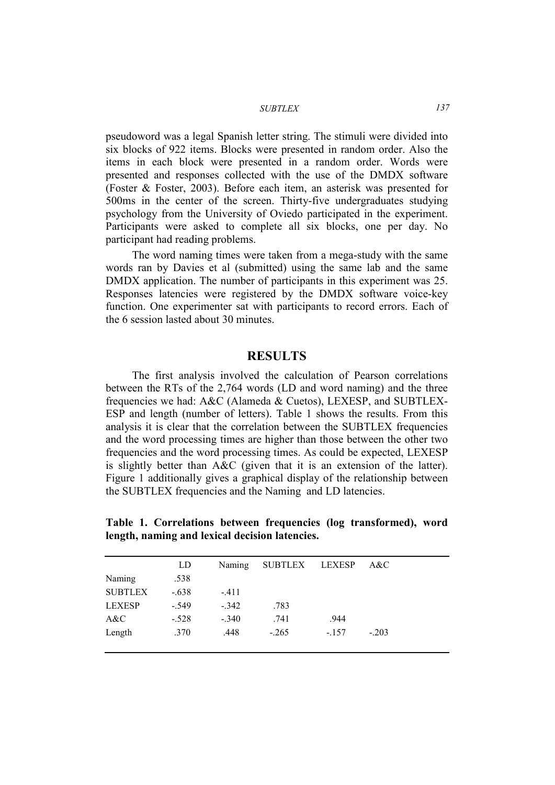pseudoword was a legal Spanish letter string. The stimuli were divided into six blocks of 922 items. Blocks were presented in random order. Also the items in each block were presented in a random order. Words were presented and responses collected with the use of the DMDX software (Foster & Foster, 2003). Before each item, an asterisk was presented for 500ms in the center of the screen. Thirty-five undergraduates studying psychology from the University of Oviedo participated in the experiment. Participants were asked to complete all six blocks, one per day. No participant had reading problems.

The word naming times were taken from a mega-study with the same words ran by Davies et al (submitted) using the same lab and the same DMDX application. The number of participants in this experiment was 25. Responses latencies were registered by the DMDX software voice-key function. One experimenter sat with participants to record errors. Each of the 6 session lasted about 30 minutes.

## **RESULTS**

The first analysis involved the calculation of Pearson correlations between the RTs of the 2,764 words (LD and word naming) and the three frequencies we had: A&C (Alameda & Cuetos), LEXESP, and SUBTLEX-ESP and length (number of letters). Table 1 shows the results. From this analysis it is clear that the correlation between the SUBTLEX frequencies and the word processing times are higher than those between the other two frequencies and the word processing times. As could be expected, LEXESP is slightly better than A&C (given that it is an extension of the latter). Figure 1 additionally gives a graphical display of the relationship between the SUBTLEX frequencies and the Naming and LD latencies.

**Table 1. Correlations between frequencies (log transformed), word length, naming and lexical decision latencies.** 

|                | LD      | <b>Naming</b> | <b>SUBTLEX</b> | LEXESP  | A&C     |
|----------------|---------|---------------|----------------|---------|---------|
| Naming         | .538    |               |                |         |         |
| <b>SUBTLEX</b> | $-.638$ | $-411$        |                |         |         |
| <b>LEXESP</b>  | $-.549$ | $-0.342$      | .783           |         |         |
| A&C            | $-.528$ | $-340$        | .741           | .944    |         |
| Length         | .370    | .448          | $-.265$        | $-.157$ | $-.203$ |
|                |         |               |                |         |         |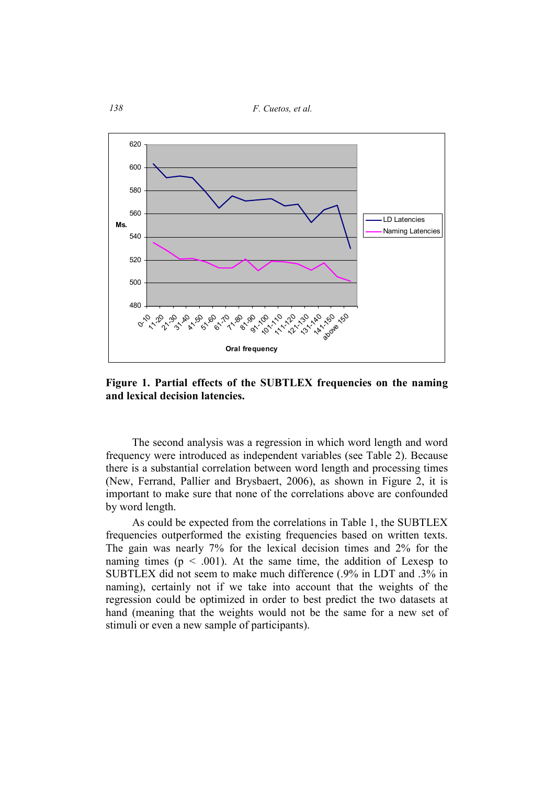*138 F. Cuetos, et al.* 



**Figure 1. Partial effects of the SUBTLEX frequencies on the naming and lexical decision latencies.** 

The second analysis was a regression in which word length and word frequency were introduced as independent variables (see Table 2). Because there is a substantial correlation between word length and processing times (New, Ferrand, Pallier and Brysbaert, 2006), as shown in Figure 2, it is important to make sure that none of the correlations above are confounded by word length.

As could be expected from the correlations in Table 1, the SUBTLEX frequencies outperformed the existing frequencies based on written texts. The gain was nearly 7% for the lexical decision times and 2% for the naming times ( $p < .001$ ). At the same time, the addition of Lexesp to SUBTLEX did not seem to make much difference (.9% in LDT and .3% in naming), certainly not if we take into account that the weights of the regression could be optimized in order to best predict the two datasets at hand (meaning that the weights would not be the same for a new set of stimuli or even a new sample of participants).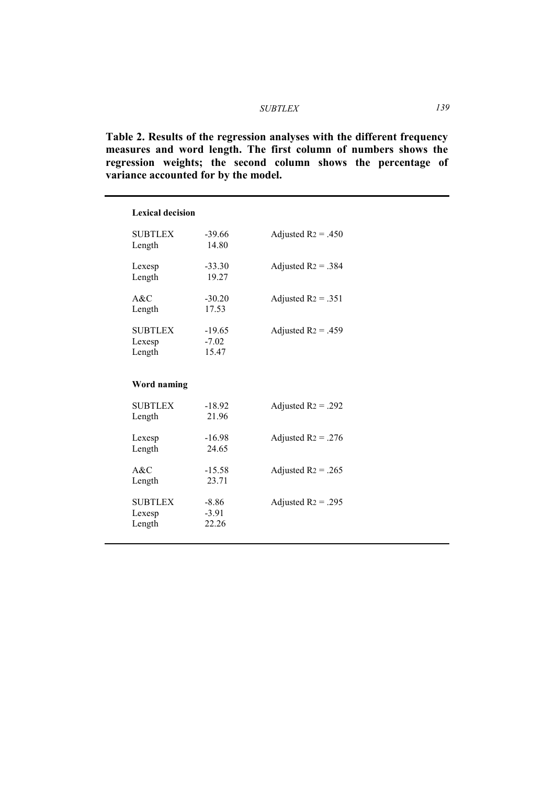**Table 2. Results of the regression analyses with the different frequency measures and word length. The first column of numbers shows the regression weights; the second column shows the percentage of variance accounted for by the model.** 

| <b>Lexical decision</b>            |                              |                       |
|------------------------------------|------------------------------|-----------------------|
| <b>SUBTLEX</b><br>Length           | $-39.66$<br>14.80            | Adjusted $R_2$ = .450 |
| Lexesp<br>Length                   | $-33.30$<br>19.27            | Adjusted $R_2$ = .384 |
| A&C<br>Length                      | $-30.20$<br>17.53            | Adjusted $R_2 = .351$ |
| <b>SUBTLEX</b><br>Lexesp<br>Length | $-19.65$<br>$-7.02$<br>15.47 | Adjusted $R_2$ = .459 |
| Word naming                        |                              |                       |
| <b>SUBTLEX</b><br>Length           | $-18.92$<br>21.96            | Adjusted $R_2$ = .292 |
| Lexesp<br>Length                   | $-16.98$<br>24.65            | Adjusted $R_2 = .276$ |
| A&C<br>Length                      | $-15.58$<br>23.71            | Adjusted $R_2$ = .265 |
|                                    |                              |                       |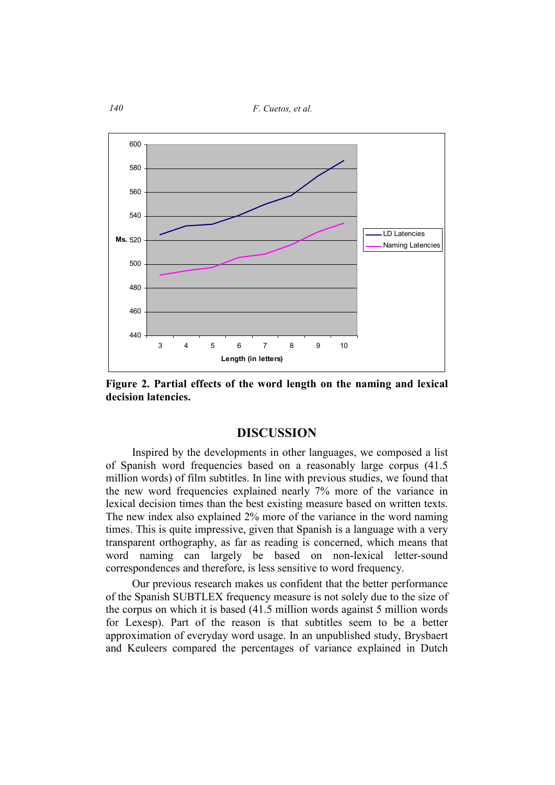*140 F. Cuetos, et al.* 



**Figure 2. Partial effects of the word length on the naming and lexical decision latencies.** 

## **DISCUSSION**

Inspired by the developments in other languages, we composed a list of Spanish word frequencies based on a reasonably large corpus (41.5 million words) of film subtitles. In line with previous studies, we found that the new word frequencies explained nearly 7% more of the variance in lexical decision times than the best existing measure based on written texts. The new index also explained 2% more of the variance in the word naming times. This is quite impressive, given that Spanish is a language with a very transparent orthography, as far as reading is concerned, which means that word naming can largely be based on non-lexical letter-sound correspondences and therefore, is less sensitive to word frequency.

Our previous research makes us confident that the better performance of the Spanish SUBTLEX frequency measure is not solely due to the size of the corpus on which it is based (41.5 million words against 5 million words for Lexesp). Part of the reason is that subtitles seem to be a better approximation of everyday word usage. In an unpublished study, Brysbaert and Keuleers compared the percentages of variance explained in Dutch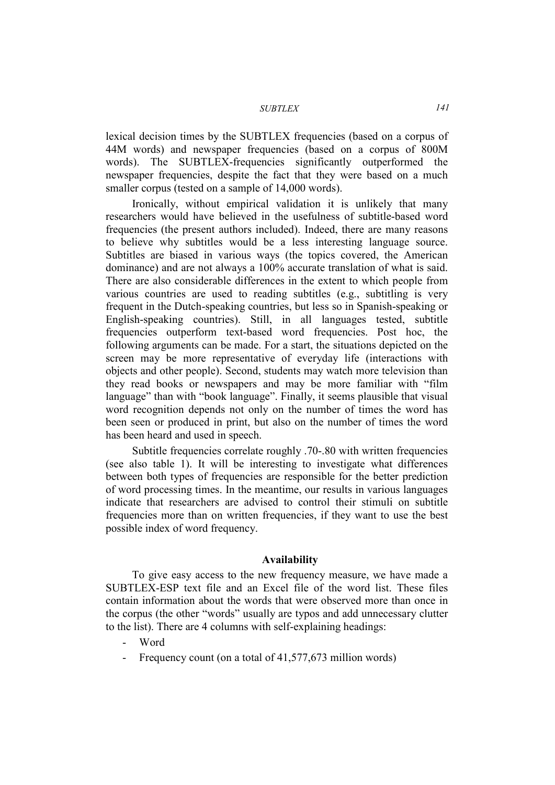lexical decision times by the SUBTLEX frequencies (based on a corpus of 44M words) and newspaper frequencies (based on a corpus of 800M words). The SUBTLEX-frequencies significantly outperformed the newspaper frequencies, despite the fact that they were based on a much smaller corpus (tested on a sample of 14,000 words).

Ironically, without empirical validation it is unlikely that many researchers would have believed in the usefulness of subtitle-based word frequencies (the present authors included). Indeed, there are many reasons to believe why subtitles would be a less interesting language source. Subtitles are biased in various ways (the topics covered, the American dominance) and are not always a 100% accurate translation of what is said. There are also considerable differences in the extent to which people from various countries are used to reading subtitles (e.g., subtitling is very frequent in the Dutch-speaking countries, but less so in Spanish-speaking or English-speaking countries). Still, in all languages tested, subtitle frequencies outperform text-based word frequencies. Post hoc, the following arguments can be made. For a start, the situations depicted on the screen may be more representative of everyday life (interactions with objects and other people). Second, students may watch more television than they read books or newspapers and may be more familiar with "film language" than with "book language". Finally, it seems plausible that visual word recognition depends not only on the number of times the word has been seen or produced in print, but also on the number of times the word has been heard and used in speech.

Subtitle frequencies correlate roughly .70-.80 with written frequencies (see also table 1). It will be interesting to investigate what differences between both types of frequencies are responsible for the better prediction of word processing times. In the meantime, our results in various languages indicate that researchers are advised to control their stimuli on subtitle frequencies more than on written frequencies, if they want to use the best possible index of word frequency.

### **Availability**

To give easy access to the new frequency measure, we have made a SUBTLEX-ESP text file and an Excel file of the word list. These files contain information about the words that were observed more than once in the corpus (the other "words" usually are typos and add unnecessary clutter to the list). There are 4 columns with self-explaining headings:

- Word
- Frequency count (on a total of 41,577,673 million words)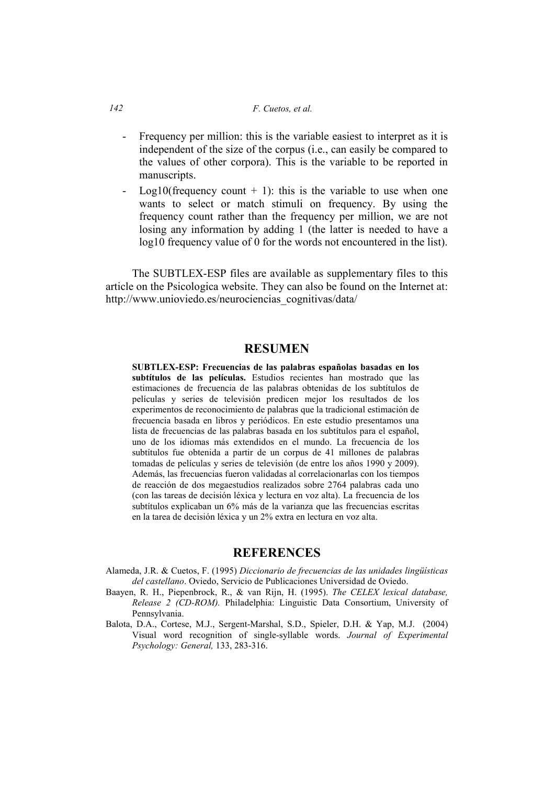#### *142 F. Cuetos, et al.*

- Frequency per million: this is the variable easiest to interpret as it is independent of the size of the corpus (i.e., can easily be compared to the values of other corpora). This is the variable to be reported in manuscripts.
- Log10(frequency count  $+$  1): this is the variable to use when one wants to select or match stimuli on frequency. By using the frequency count rather than the frequency per million, we are not losing any information by adding 1 (the latter is needed to have a log10 frequency value of 0 for the words not encountered in the list).

The SUBTLEX-ESP files are available as supplementary files to this article on the Psicologica website. They can also be found on the Internet at: http://www.unioviedo.es/neurociencias\_cognitivas/data/

## **RESUMEN**

**SUBTLEX-ESP: Frecuencias de las palabras españolas basadas en los subtítulos de las películas.** Estudios recientes han mostrado que las estimaciones de frecuencia de las palabras obtenidas de los subtítulos de películas y series de televisión predicen mejor los resultados de los experimentos de reconocimiento de palabras que la tradicional estimación de frecuencia basada en libros y periódicos. En este estudio presentamos una lista de frecuencias de las palabras basada en los subtítulos para el español, uno de los idiomas más extendidos en el mundo. La frecuencia de los subtítulos fue obtenida a partir de un corpus de 41 millones de palabras tomadas de películas y series de televisión (de entre los años 1990 y 2009). Además, las frecuencias fueron validadas al correlacionarlas con los tiempos de reacción de dos megaestudios realizados sobre 2764 palabras cada uno (con las tareas de decisión léxica y lectura en voz alta). La frecuencia de los subtítulos explicaban un 6% más de la varianza que las frecuencias escritas en la tarea de decisión léxica y un 2% extra en lectura en voz alta.

### **REFERENCES**

- Alameda, J.R. & Cuetos, F. (1995) *Diccionario de frecuencias de las unidades lingüísticas del castellano*. Oviedo, Servicio de Publicaciones Universidad de Oviedo.
- Baayen, R. H., Piepenbrock, R., & van Rijn, H. (1995). *The CELEX lexical database, Release 2 (CD-ROM).* Philadelphia: Linguistic Data Consortium, University of Pennsylvania.
- Balota, D.A., Cortese, M.J., Sergent-Marshal, S.D., Spieler, D.H. & Yap, M.J. (2004) Visual word recognition of single-syllable words. *Journal of Experimental Psychology: General,* 133, 283-316.